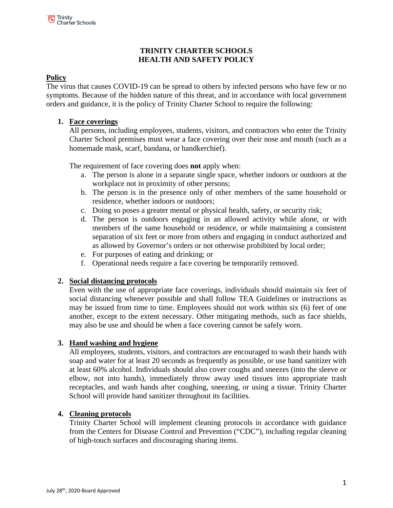# **TRINITY CHARTER SCHOOLS HEALTH AND SAFETY POLICY**

# **Policy**

The virus that causes COVID-19 can be spread to others by infected persons who have few or no symptoms. Because of the hidden nature of this threat, and in accordance with local government orders and guidance, it is the policy of Trinity Charter School to require the following:

### **1. Face coverings**

All persons, including employees, students, visitors, and contractors who enter the Trinity Charter School premises must wear a face covering over their nose and mouth (such as a homemade mask, scarf, bandana, or handkerchief).

The requirement of face covering does **not** apply when:

- a. The person is alone in a separate single space, whether indoors or outdoors at the workplace not in proximity of other persons;
- b. The person is in the presence only of other members of the same household or residence, whether indoors or outdoors;
- c. Doing so poses a greater mental or physical health, safety, or security risk;
- d. The person is outdoors engaging in an allowed activity while alone, or with members of the same household or residence, or while maintaining a consistent separation of six feet or more from others and engaging in conduct authorized and as allowed by Governor's orders or not otherwise prohibited by local order;
- e. For purposes of eating and drinking; or
- f. Operational needs require a face covering be temporarily removed.

#### **2. Social distancing protocols**

Even with the use of appropriate face coverings, individuals should maintain six feet of social distancing whenever possible and shall follow TEA Guidelines or instructions as may be issued from time to time. Employees should not work within six (6) feet of one another, except to the extent necessary. Other mitigating methods, such as face shields, may also be use and should be when a face covering cannot be safely worn.

#### **3. Hand washing and hygiene**

All employees, students, visitors, and contractors are encouraged to wash their hands with soap and water for at least 20 seconds as frequently as possible, or use hand sanitizer with at least 60% alcohol. Individuals should also cover coughs and sneezes (into the sleeve or elbow, not into hands), immediately throw away used tissues into appropriate trash receptacles, and wash hands after coughing, sneezing, or using a tissue. Trinity Charter School will provide hand sanitizer throughout its facilities.

#### **4. Cleaning protocols**

Trinity Charter School will implement cleaning protocols in accordance with guidance from the Centers for Disease Control and Prevention ("CDC"), including regular cleaning of high-touch surfaces and discouraging sharing items.